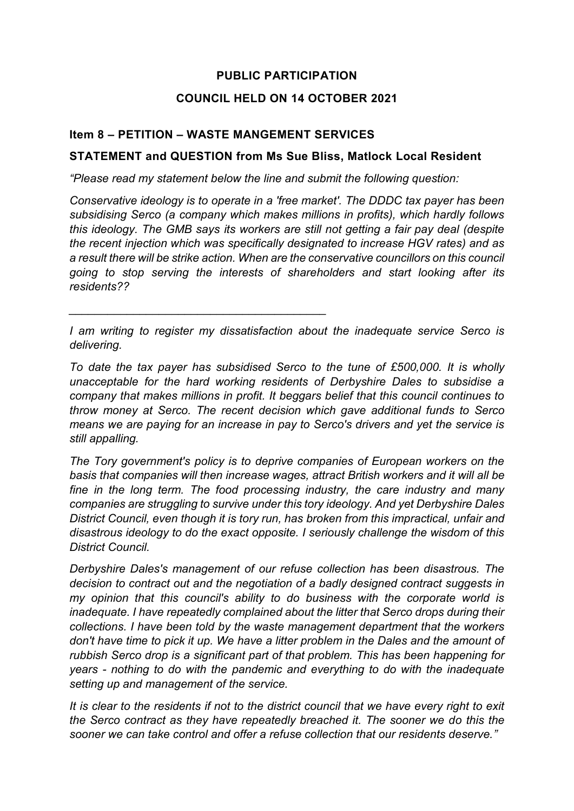# **PUBLIC PARTICIPATION**

### **COUNCIL HELD ON 14 OCTOBER 2021**

### **Item 8 – PETITION – WASTE MANGEMENT SERVICES**

*\_\_\_\_\_\_\_\_\_\_\_\_\_\_\_\_\_\_\_\_\_\_\_\_\_\_\_\_\_\_\_\_\_\_\_\_\_\_\_\_*

### **STATEMENT and QUESTION from Ms Sue Bliss, Matlock Local Resident**

*"Please read my statement below the line and submit the following question:*

*Conservative ideology is to operate in a 'free market'. The DDDC tax payer has been subsidising Serco (a company which makes millions in profits), which hardly follows this ideology. The GMB says its workers are still not getting a fair pay deal (despite the recent injection which was specifically designated to increase HGV rates) and as a result there will be strike action. When are the conservative councillors on this council going to stop serving the interests of shareholders and start looking after its residents??*

*I am writing to register my dissatisfaction about the inadequate service Serco is delivering.*

*To date the tax payer has subsidised Serco to the tune of £500,000. It is wholly unacceptable for the hard working residents of Derbyshire Dales to subsidise a company that makes millions in profit. It beggars belief that this council continues to throw money at Serco. The recent decision which gave additional funds to Serco means we are paying for an increase in pay to Serco's drivers and yet the service is still appalling.*

*The Tory government's policy is to deprive companies of European workers on the basis that companies will then increase wages, attract British workers and it will all be fine in the long term. The food processing industry, the care industry and many companies are struggling to survive under this tory ideology. And yet Derbyshire Dales District Council, even though it is tory run, has broken from this impractical, unfair and disastrous ideology to do the exact opposite. I seriously challenge the wisdom of this District Council.*

*Derbyshire Dales's management of our refuse collection has been disastrous. The decision to contract out and the negotiation of a badly designed contract suggests in my opinion that this council's ability to do business with the corporate world is inadequate. I have repeatedly complained about the litter that Serco drops during their collections. I have been told by the waste management department that the workers don't have time to pick it up. We have a litter problem in the Dales and the amount of rubbish Serco drop is a significant part of that problem. This has been happening for years - nothing to do with the pandemic and everything to do with the inadequate setting up and management of the service.*

*It is clear to the residents if not to the district council that we have every right to exit the Serco contract as they have repeatedly breached it. The sooner we do this the sooner we can take control and offer a refuse collection that our residents deserve."*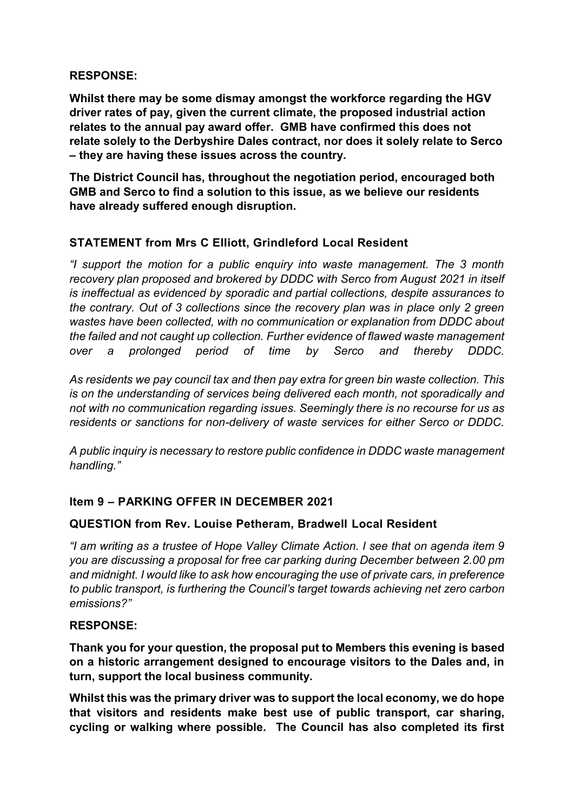#### **RESPONSE:**

**Whilst there may be some dismay amongst the workforce regarding the HGV driver rates of pay, given the current climate, the proposed industrial action relates to the annual pay award offer. GMB have confirmed this does not relate solely to the Derbyshire Dales contract, nor does it solely relate to Serco – they are having these issues across the country.**

**The District Council has, throughout the negotiation period, encouraged both GMB and Serco to find a solution to this issue, as we believe our residents have already suffered enough disruption.**

## **STATEMENT from Mrs C Elliott, Grindleford Local Resident**

*"I support the motion for a public enquiry into waste management. The 3 month recovery plan proposed and brokered by DDDC with Serco from August 2021 in itself is ineffectual as evidenced by sporadic and partial collections, despite assurances to the contrary. Out of 3 collections since the recovery plan was in place only 2 green wastes have been collected, with no communication or explanation from DDDC about the failed and not caught up collection. Further evidence of flawed waste management over a prolonged period of time by Serco and thereby DDDC.* 

*As residents we pay council tax and then pay extra for green bin waste collection. This is on the understanding of services being delivered each month, not sporadically and not with no communication regarding issues. Seemingly there is no recourse for us as residents or sanctions for non-delivery of waste services for either Serco or DDDC.*

*A public inquiry is necessary to restore public confidence in DDDC waste management handling."*

## **Item 9 – PARKING OFFER IN DECEMBER 2021**

## **QUESTION from Rev. Louise Petheram, Bradwell Local Resident**

*"I am writing as a trustee of Hope Valley Climate Action. I see that on agenda item 9 you are discussing a proposal for free car parking during December between 2.00 pm and midnight. I would like to ask how encouraging the use of private cars, in preference to public transport, is furthering the Council's target towards achieving net zero carbon emissions?"*

#### **RESPONSE:**

**Thank you for your question, the proposal put to Members this evening is based on a historic arrangement designed to encourage visitors to the Dales and, in turn, support the local business community.**

**Whilst this was the primary driver was to support the local economy, we do hope that visitors and residents make best use of public transport, car sharing, cycling or walking where possible. The Council has also completed its first**